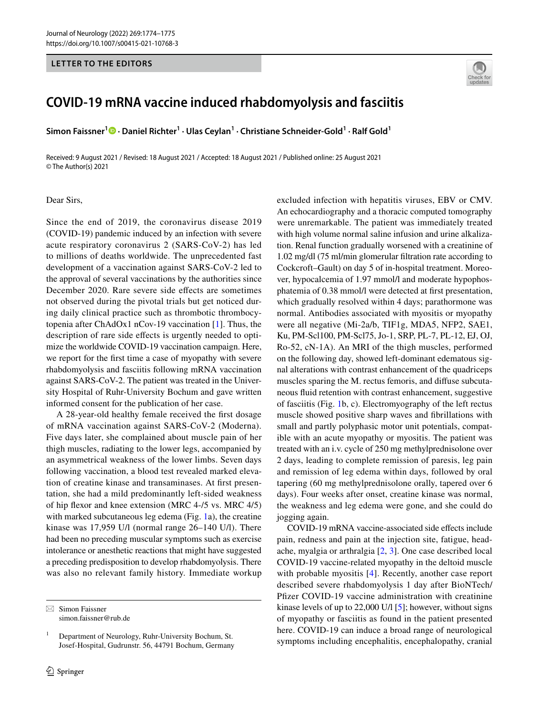## **LETTER TO THE EDITORS**



# **COVID‑19 mRNA vaccine induced rhabdomyolysis and fasciitis**

**Simon Faissner<sup>1</sup> · Daniel Richter1 · Ulas Ceylan1 · Christiane Schneider‑Gold1 · Ralf Gold1**

Received: 9 August 2021 / Revised: 18 August 2021 / Accepted: 18 August 2021 / Published online: 25 August 2021 © The Author(s) 2021

#### Dear Sirs,

Since the end of 2019, the coronavirus disease 2019 (COVID-19) pandemic induced by an infection with severe acute respiratory coronavirus 2 (SARS-CoV-2) has led to millions of deaths worldwide. The unprecedented fast development of a vaccination against SARS-CoV-2 led to the approval of several vaccinations by the authorities since December 2020. Rare severe side efects are sometimes not observed during the pivotal trials but get noticed during daily clinical practice such as thrombotic thrombocytopenia after ChAdOx1 nCov-19 vaccination [[1](#page-1-0)]. Thus, the description of rare side efects is urgently needed to optimize the worldwide COVID-19 vaccination campaign. Here, we report for the frst time a case of myopathy with severe rhabdomyolysis and fasciitis following mRNA vaccination against SARS-CoV-2. The patient was treated in the University Hospital of Ruhr-University Bochum and gave written informed consent for the publication of her case.

A 28-year-old healthy female received the frst dosage of mRNA vaccination against SARS-CoV-2 (Moderna). Five days later, she complained about muscle pain of her thigh muscles, radiating to the lower legs, accompanied by an asymmetrical weakness of the lower limbs. Seven days following vaccination, a blood test revealed marked elevation of creatine kinase and transaminases. At frst presentation, she had a mild predominantly left-sided weakness of hip fexor and knee extension (MRC 4-/5 vs. MRC 4/5) with marked subcutaneous leg edema (Fig. [1a](#page-1-1)), the creatine kinase was 17,959 U/l (normal range 26–140 U/l). There had been no preceding muscular symptoms such as exercise intolerance or anesthetic reactions that might have suggested a preceding predisposition to develop rhabdomyolysis. There was also no relevant family history. Immediate workup

excluded infection with hepatitis viruses, EBV or CMV. An echocardiography and a thoracic computed tomography were unremarkable. The patient was immediately treated with high volume normal saline infusion and urine alkalization. Renal function gradually worsened with a creatinine of 1.02 mg/dl (75 ml/min glomerular fltration rate according to Cockcroft–Gault) on day 5 of in-hospital treatment. Moreover, hypocalcemia of 1.97 mmol/l and moderate hypophosphatemia of 0.38 mmol/l were detected at frst presentation, which gradually resolved within 4 days; parathormone was normal. Antibodies associated with myositis or myopathy were all negative (Mi-2a/b, TIF1g, MDA5, NFP2, SAE1, Ku, PM-Scl100, PM-Scl75, Jo-1, SRP, PL-7, PL-12, EJ, OJ, Ro-52, cN-1A). An MRI of the thigh muscles, performed on the following day, showed left-dominant edematous signal alterations with contrast enhancement of the quadriceps muscles sparing the M. rectus femoris, and difuse subcutaneous fuid retention with contrast enhancement, suggestive of fasciitis (Fig. [1b](#page-1-1), c). Electromyography of the left rectus muscle showed positive sharp waves and fbrillations with small and partly polyphasic motor unit potentials, compatible with an acute myopathy or myositis. The patient was treated with an i.v. cycle of 250 mg methylprednisolone over 2 days, leading to complete remission of paresis, leg pain and remission of leg edema within days, followed by oral tapering (60 mg methylprednisolone orally, tapered over 6 days). Four weeks after onset, creatine kinase was normal, the weakness and leg edema were gone, and she could do jogging again.

COVID-19 mRNA vaccine-associated side efects include pain, redness and pain at the injection site, fatigue, headache, myalgia or arthralgia [\[2](#page-1-2), [3](#page-1-3)]. One case described local COVID-19 vaccine-related myopathy in the deltoid muscle with probable myositis [\[4](#page-1-4)]. Recently, another case report described severe rhabdomyolysis 1 day after BioNTech/ Pfizer COVID-19 vaccine administration with creatinine kinase levels of up to 22,000 U/l [[5\]](#page-1-5); however, without signs of myopathy or fasciitis as found in the patient presented here. COVID-19 can induce a broad range of neurological symptoms including encephalitis, encephalopathy, cranial

 $\boxtimes$  Simon Faissner simon.faissner@rub.de

<sup>&</sup>lt;sup>1</sup> Department of Neurology, Ruhr-University Bochum, St. Josef-Hospital, Gudrunstr. 56, 44791 Bochum, Germany